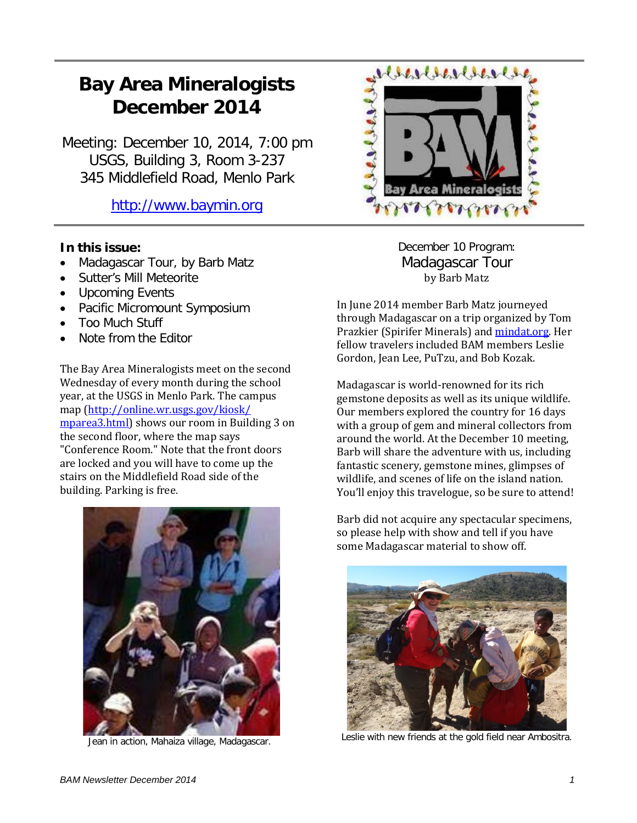# **Bay Area Mineralogists December 2014**

Meeting: December 10, 2014, 7:00 pm USGS, Building 3, Room 3-237 345 Middlefield Road, Menlo Park

[http://www.baymin.org](http://www.baymin.org/)

# **In this issue:**

- Madagascar Tour, by Barb Matz
- Sutter's Mill Meteorite
- Upcoming Events
- Pacific Micromount Symposium
- Too Much Stuff
- Note from the Editor

The Bay Area Mineralogists meet on the second Wednesday of every month during the school year, at the USGS in Menlo Park. The campus map [\(http://online.wr.usgs.gov/kiosk/](http://online.wr.usgs.gov/kiosk/%20mparea3.html) [mparea3.html\)](http://online.wr.usgs.gov/kiosk/%20mparea3.html) shows our room in Building 3 on the second floor, where the map says "Conference Room." Note that the front doors are locked and you will have to come up the stairs on the Middlefield Road side of the building. Parking is free.



Jean in action, Mahaiza village, Madagascar.



December 10 Program: Madagascar Tour by Barb Matz

In June 2014 member Barb Matz journeyed through Madagascar on a trip organized by Tom Prazkier (Spirifer Minerals) and *mindat.org*. Her fellow travelers included BAM members Leslie Gordon, Jean Lee, PuTzu, and Bob Kozak.

Madagascar is world-renowned for its rich gemstone deposits as well as its unique wildlife. Our members explored the country for 16 days with a group of gem and mineral collectors from around the world. At the December 10 meeting, Barb will share the adventure with us, including fantastic scenery, gemstone mines, glimpses of wildlife, and scenes of life on the island nation. You'll enjoy this travelogue, so be sure to attend!

Barb did not acquire any spectacular specimens, so please help with show and tell if you have some Madagascar material to show off.



Leslie with new friends at the gold field near Ambositra.